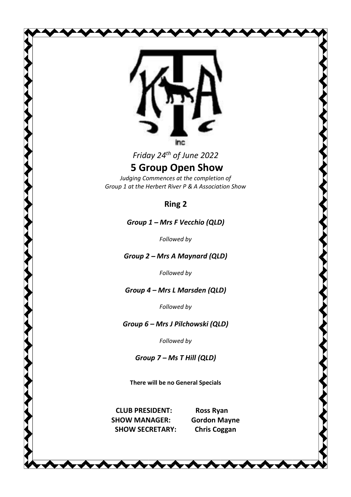

*Friday 24th of June 2022* 

## **5 Group Open Show**

*Judging Commences at the completion of Group 1 at the Herbert River P & A Association Show* 

#### **Ring 2**

*Group 1 Mrs F Vecchio (QLD)* 

*Followed by* 

*Group* 2 – *Mrs* A *Maynard* (QLD)

*Followed by* 

*Group* 4 – Mrs *L* Marsden (QLD)

*Followed by* 

#### *Group*  $6$  – *Mrs J* Pilchowski (QLD)

*Followed by* 

*Group 7 Ms T Hill (QLD)* 

**There will be no General Specials** 

**CLUB PRESIDENT: Ross Ryan SHOW MANAGER: Gordon Mayne SHOW SECRETARY: Chris Coggan**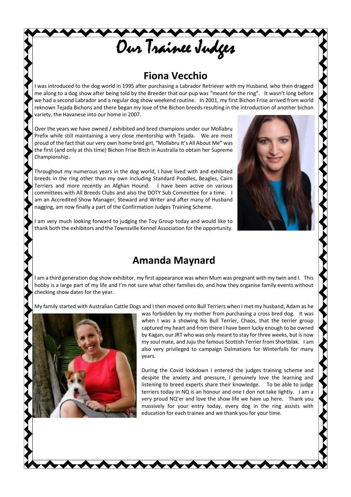## **Fiona Vecchio**

Our Trainee Judges

I was introduced to the dog world in 1995 after purchasing a Labrador Retriever with my Husband, who then dragged me along to a dog show after being told by the Breeder that our pup was "meant for the ring". It wasn't long before we had a second Labrador and a regular dog show weekend routine. In 2001, my first Bichon Frise arrived from world reknown Tejada Bichons and there began my love of the Bichon breeds resulting in the introduction of another bichon variety, the Havanese into our home in 2007.

Over the years we have owned / exhibited and bred champions under our Mollabru Prefix while still maintaining a very close mentorship with Tejada. We are most proud of the fact that our very own home bred girl, "Mollabru It's All About Me" was the first (and only at this time) Bichon Frise Bitch in Australia to obtain her Supreme Championship.

Throughout my numerous years in the dog world, I have lived with and exhibited breeds in the ring other than my own including Standard Poodles, Beagles, Cairn Terriers and more recently an Afghan Hound. I have been active on various committees with All Breeds Clubs and also the DOTY Sub Committee for a time. I am an Accredited Show Manager, Steward and Writer and after many of Husband nagging, am now finally a part of the Confirmation Judges Training Scheme.



am very much looking forward to judging the Toy Group today and would like to thank both the exhibitors and the Townsville Kennel Association for the opportunity.

#### **Amanda Maynard**

I am a third generation dog show exhibitor, my first appearance was when Mum was pregnant with my twin and I. This hobby is a large part of my life and I'm not sure what other families do, and how they organise family events without checking show dates for the year.

My family started with Australian Cattle Dogs and I then moved onto Bull Terriers when I met my husband, Adam as he



was forbidden by my mother from purchasing a cross bred dog. It was when I was a showing his Bull Terrier, Chaos, that the terrier group captured my heart and from there I have been lucky enough to be owned by Kagan, our JRT who was only meant to stay for three weeks, but is now my soul mate, and Juju the famous Scottish Terrier from Shortblak. I am also very privileged to campaign Dalmations for Winterfalls for many years.

During the Covid lockdown I entered the judges training scheme and despite the anxiety and pressure, I genuinely love the learning and listening to breed experts share their knowledge. To be able to judge terriers today in NQ is an honour and one I don not take lightly. I am a very proud NQ'er and love the show life we have up here. Thank you massively for your entry today, every dog in the ring assists with education for each trainee and we thank you for your time.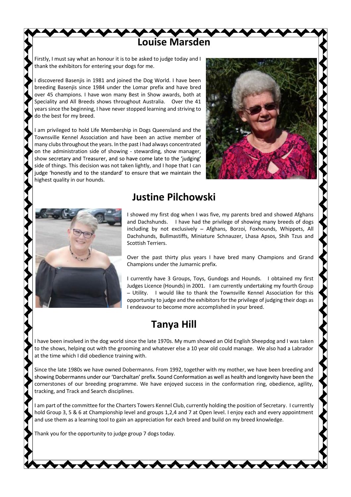Firstly, I must say what an honour it is to be asked to judge today and I thank the exhibitors for entering your dogs for me.

I discovered Basenjis in 1981 and joined the Dog World. I have been breeding Basenjis since 1984 under the Lomar prefix and have bred over 45 champions. I have won many Best in Show awards, both at Speciality and All Breeds shows throughout Australia. Over the 41 years since the beginning, I have never stopped learning and striving to do the best for my breed.

I am privileged to hold Life Membership in Dogs Queensland and the Townsville Kennel Association and have been an active member of many clubs throughout the years. In the past I had always concentrated on the administration side of showing - stewarding, show manager, show secretary and Treasurer, and so have come late to the 'judging' side of things. This decision was not taken lightly, and I hope that I can judge 'honestly and to the standard' to ensure that we maintain the highest quality in our hounds.





#### **Justine Pilchowski**

**Louise Marsden** 

I showed my first dog when I was five, my parents bred and showed Afghans and Dachshunds. I have had the privilege of showing many breeds of dogs including by not exclusively - Afghans, Borzoi, Foxhounds, Whippets, All Dachshunds, Bullmastiffs, Miniature Schnauzer, Lhasa Apsos, Shih Tzus and Scottish Terriers.

Over the past thirty plus years I have bred many Champions and Grand Champions under the Jumarnic prefix.

I currently have 3 Groups, Toys, Gundogs and Hounds. I obtained my first Judges Licence (Hounds) in 2001. I am currently undertaking my fourth Group - Utility. I would like to thank the Townsville Kennel Association for this opportunity to judge and the exhibitors for the privilege of judging their dogs as I endeavour to become more accomplished in your breed.

#### **Tanya Hill**

I have been involved in the dog world since the late 1970s. My mum showed an Old English Sheepdog and I was taken to the shows, helping out with the grooming and whatever else a 10 year old could manage. We also had a Labrador at the time which I did obedience training with.

Since the late 1980s we have owned Dobermanns. From 1992, together with my mother, we have been breeding and showing Dobermanns under our 'Darchaltan' prefix. Sound Conformation as well as health and longevity have been the cornerstones of our breeding programme. We have enjoyed success in the conformation ring, obedience, agility, tracking, and Track and Search disciplines.

I am part of the committee for the Charters Towers Kennel Club, currently holding the position of Secretary. I currently hold Group 3, 5 & 6 at Championship level and groups 1,2,4 and 7 at Open level. I enjoy each and every appointment and use them as a learning tool to gain an appreciation for each breed and build on my breed knowledge.

Thank you for the opportunity to judge group 7 dogs today.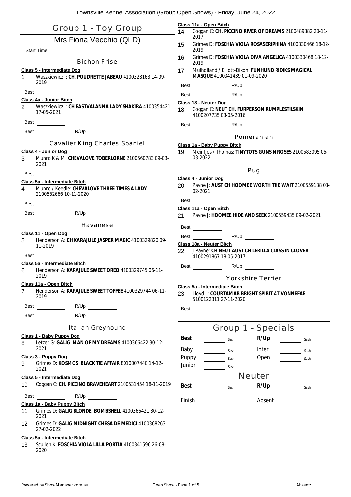| Group 1 - Toy Group           |                                                                                     |                 | Class 11a - Open Bitch<br>Coggan C: CH. PICCINO RIVER OF DREAMS 2100489382 20-11-<br>14 |                                       |      |  |                          |                                                     |                                                         |
|-------------------------------|-------------------------------------------------------------------------------------|-----------------|-----------------------------------------------------------------------------------------|---------------------------------------|------|--|--------------------------|-----------------------------------------------------|---------------------------------------------------------|
| Mrs Fiona Vecchio (QLD)       |                                                                                     |                 | 2017<br>15<br>Grimes D: FOSCHIA VIOLA ROSASERIPHINA 4100330466 18-12-                   |                                       |      |  |                          |                                                     |                                                         |
| <b>Start Time:</b>            |                                                                                     |                 | 2019                                                                                    |                                       |      |  |                          |                                                     |                                                         |
|                               | <b>Bichon Frise</b>                                                                 | 16              | 2019                                                                                    |                                       |      |  |                          |                                                     | Grimes D: FOSCHIA VIOLA DIVA ANGELICA 4100330468 18-12- |
| 1                             | Class 5 - Intermediate Dog<br>Waszkiewicz I: CH. POUDRETTE JABEAU 4100328163 14-09- | 17              |                                                                                         | MASQUE 4100341439 01-09-2020          |      |  |                          | Mulholland / Elliott-Dixon: FUNHUND RIDIKS MAGICAL  |                                                         |
|                               | 2019                                                                                |                 |                                                                                         | Best ___________                      |      |  | R/Up                     |                                                     |                                                         |
| Best                          |                                                                                     |                 |                                                                                         | <b>Best</b>                           |      |  | R/Up                     |                                                     |                                                         |
| $\overline{2}$                | Class 4a - Junior Bitch<br>Waszkiewicz I: CH EASTVALANNA LADY SHAKIRA 4100354421    |                 |                                                                                         | Class 18 - Neuter Dog                 |      |  |                          |                                                     |                                                         |
|                               | 17-05-2021                                                                          | 18              |                                                                                         | 4100207735 03-05-2016                 |      |  |                          | Coggan C: NEUT CH. FURPERSON RUMPLESTILSKIN         |                                                         |
|                               | Best __________                                                                     |                 |                                                                                         |                                       |      |  | R/Up                     |                                                     |                                                         |
|                               | Best R/Up R/Up                                                                      |                 |                                                                                         |                                       |      |  | Pomeranian               |                                                     |                                                         |
|                               | <b>Cavalier King Charles Spaniel</b>                                                |                 |                                                                                         | Class 1a - Baby Puppy Bitch           |      |  |                          |                                                     |                                                         |
|                               | Class 4 - Junior Dog                                                                | 19              |                                                                                         |                                       |      |  |                          |                                                     | Meintjes / Thomas: TINYTOTS GUNS N ROSES 2100583095 05- |
| 3                             | Munro K & M: CHEVALOVE TOBERLORNE 2100560783 09-03-<br>2021                         |                 | 03-2022                                                                                 |                                       |      |  |                          |                                                     |                                                         |
| Best                          |                                                                                     |                 |                                                                                         |                                       |      |  | Pug                      |                                                     |                                                         |
|                               | Class 5a - Intermediate Bitch                                                       |                 |                                                                                         | Class 4 - Junior Dog                  |      |  |                          |                                                     | Payne J: AUST CH HOOMEE WORTH THE WAIT 2100559138 08-   |
| $\overline{\mathbf{4}}$       | Munro / Keedle: CHEVALOVE THREE TIMES A LADY<br>2100552666 10-11-2020               | 20              | 02-2021                                                                                 |                                       |      |  |                          |                                                     |                                                         |
|                               | Best ___________                                                                    |                 | <b>Best</b>                                                                             |                                       |      |  |                          |                                                     |                                                         |
|                               | R/Up<br><b>Best Best</b>                                                            | 21              |                                                                                         | Class 11a - Open Bitch                |      |  |                          | Payne J: HOOMEE HIDE AND SEEK 2100559435 09-02-2021 |                                                         |
|                               |                                                                                     |                 |                                                                                         |                                       |      |  |                          |                                                     |                                                         |
|                               | Havanese                                                                            |                 |                                                                                         | Best ___________                      |      |  |                          |                                                     |                                                         |
| 5                             | Class 11 - Open Dog<br>Henderson A: CH KARAJULE JASPER MAGIC 4100329820 09-         |                 |                                                                                         | Best ___________                      |      |  | R/Up                     |                                                     |                                                         |
|                               | 11-2019                                                                             |                 |                                                                                         | Class 18a - Neuter Bitch              |      |  |                          |                                                     |                                                         |
| Best                          |                                                                                     | 22              |                                                                                         | 4100291867 18-05-2017                 |      |  |                          | J Payne: CH NEUT AUST CH LERILLA CLASS IN CLOVER    |                                                         |
|                               | Class 5a - Intermediate Bitch                                                       |                 |                                                                                         |                                       |      |  |                          |                                                     |                                                         |
| 6                             | Henderson A: KARAJULE SWEET OREO 4100329745 06-11-<br>2019                          |                 |                                                                                         |                                       |      |  |                          |                                                     |                                                         |
|                               |                                                                                     |                 |                                                                                         |                                       |      |  | <b>Yorkshire Terrier</b> |                                                     |                                                         |
| 7                             | Class 11a - Open Bitch<br>Henderson A: KARAJULE SWEET TOFFEE 4100329744 06-11-      |                 |                                                                                         | <u> Class 5a - Intermediate Bitch</u> |      |  |                          |                                                     |                                                         |
|                               | 2019                                                                                | 23              |                                                                                         | 5100122311 27-11-2020                 |      |  |                          | Lloyd L: COURTAMAR BRIGHT SPIRIT AT VONNEFAE        |                                                         |
|                               |                                                                                     | Best            |                                                                                         | $\overline{\phantom{a}}$              |      |  |                          |                                                     |                                                         |
|                               | R/Up<br><b>Best Best</b>                                                            |                 |                                                                                         |                                       |      |  |                          |                                                     |                                                         |
|                               | <b>Italian Greyhound</b>                                                            |                 |                                                                                         |                                       |      |  | Group 1 - Specials       |                                                     |                                                         |
|                               | Class 1 - Baby Puppy Dog                                                            | Best            |                                                                                         |                                       | Sash |  | R/Up                     |                                                     | Sash                                                    |
| 8                             | Letzer G: GALIG MAN OF MY DREAMS 4100366422 30-12-<br>2021                          |                 |                                                                                         |                                       |      |  |                          |                                                     |                                                         |
|                               | Class 3 - Puppy Dog                                                                 | Baby            |                                                                                         |                                       | Sash |  | Inter                    |                                                     | Sash                                                    |
| 9                             | Grimes D: KOSMOS BLACK TIE AFFAIR 8010007440 14-12-                                 | Puppy<br>Junior |                                                                                         |                                       | Sash |  | Open                     |                                                     | Sash                                                    |
|                               | 2021                                                                                |                 |                                                                                         |                                       | Sash |  |                          |                                                     |                                                         |
|                               | Class 5 - Intermediate Dog                                                          |                 |                                                                                         |                                       |      |  | <b>Neuter</b>            |                                                     |                                                         |
| 10                            | Coggan C: CH. PICCINO BRAVEHEART 2100531454 18-11-2019                              | <b>Best</b>     |                                                                                         |                                       | Sash |  | R/Up                     |                                                     | Sash                                                    |
|                               | <b>Best Best</b><br>R/Up                                                            |                 |                                                                                         |                                       |      |  |                          |                                                     |                                                         |
|                               | Class 1a - Baby Puppy Bitch                                                         | Finish          |                                                                                         |                                       |      |  | Absent                   |                                                     |                                                         |
| 11                            | Grimes D: GALIG BLONDE BOMBSHELL 4100366421 30-12-<br>2021                          |                 |                                                                                         |                                       |      |  |                          |                                                     |                                                         |
| 12                            | Grimes D: GALIG MIDNIGHT CHESA DE MEDICI 4100368263<br>27-02-2022                   |                 |                                                                                         |                                       |      |  |                          |                                                     |                                                         |
| Class 5a - Intermediate Bitch |                                                                                     |                 |                                                                                         |                                       |      |  |                          |                                                     |                                                         |
|                               | O(111A) I(01A) I(11A)                                                               |                 |                                                                                         |                                       |      |  |                          |                                                     |                                                         |

13 Scullen K: **FOSCHIA VIOLA LILLA PORTIA** 4100341596 26-08- 2020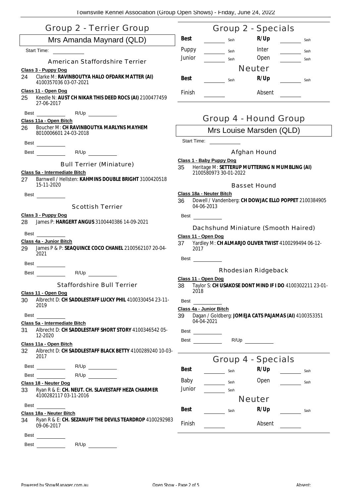| <b>Group 2 - Terrier Group</b>                                                                                            | Group 2 - Specials                                                                                        |
|---------------------------------------------------------------------------------------------------------------------------|-----------------------------------------------------------------------------------------------------------|
| Mrs Amanda Maynard (QLD)                                                                                                  | R/Up<br><b>Best</b><br>Sash<br>Sash                                                                       |
| Start Time:                                                                                                               | Puppy<br>Inter<br>Sash<br>Sash                                                                            |
| <b>American Staffordshire Terrier</b>                                                                                     | Junior<br>Open<br>Sash<br>Sash                                                                            |
| Class 3 - Puppy Dog                                                                                                       | <b>Neuter</b>                                                                                             |
| Clarke M: RAVINBOUTYA HALO OFDARK MATTER (AI)<br>24<br>4100357036 03-07-2021                                              | R/Up<br>Best<br>Sash<br>Sash                                                                              |
| Class 11 - Open Dog<br>Keedle N: AUST CH NIKAR THIS DEED ROCS (AI) 2100477459<br>25<br>27-06-2017                         | Finish<br>Absent                                                                                          |
| R/Up<br>Best<br>Class 11a - Open Bitch                                                                                    | Group 4 - Hound Group                                                                                     |
| Boucher M: CH RAVINBOUTYA MARLYNS MAYHEM<br>26<br>8010006601 24-03-2018                                                   | Mrs Louise Marsden (QLD)                                                                                  |
| Best                                                                                                                      | Start Time:                                                                                               |
| Best R/Up                                                                                                                 | Afghan Hound                                                                                              |
| <b>Bull Terrier (Miniature)</b><br>Class 5a - Intermediate Bitch<br>Barnwell / Hellsten: KAHMINS DOUBLE BRIGHT 3100420518 | Class 1 - Baby Puppy Dog<br>Heritage M: SETTERUP MUTTERING N MUMBLING (AI)<br>35<br>2100580973 30-01-2022 |
| 27<br>15-11-2020                                                                                                          | <b>Basset Hound</b>                                                                                       |
| Best                                                                                                                      | Class 18a - Neuter Bitch                                                                                  |
| <b>Scottish Terrier</b>                                                                                                   | Dowell / Vandenberg: CH DOWJAC ELLO POPPET 2100384905<br>36<br>04-06-2013                                 |
| Class 3 - Puppy Dog<br>James P: HARGERT ANGUS 3100440386 14-09-2021<br>28                                                 | Best<br>Dachshund Miniature (Smooth Haired)                                                               |
| Best                                                                                                                      | Class 11 - Open Dog                                                                                       |
| Class 4a - Junior Bitch<br>James P & P: SEAQUINCE COCO CHANEL 2100562107 20-04-<br>29                                     | Yardley M: CH ALMARJO OLIVER TWIST 4100299494 06-12-<br>37<br>2017                                        |
| 2021                                                                                                                      | Best _________                                                                                            |
| Best                                                                                                                      | <b>Rhodesian Ridgeback</b>                                                                                |
| R/Up<br>Best                                                                                                              | Class 11 - Open Dog                                                                                       |
| <b>Staffordshire Bull Terrier</b>                                                                                         | 38 Taylor S: CH USAKOSE DONT MIND IF I DO 4100302211 23-01-                                               |
| Class 11 - Open Dog<br>Albrecht D: CH SADDLESTAFF LUCKY PHIL 4100330454 23-11-<br>30<br>2019                              | 2018<br>Best<br>Class 4a - Junior Bitch                                                                   |
| Best                                                                                                                      | 39<br>Dagan / Goldberg: JOMEJA CATS PAJAMAS (AI) 4100353351                                               |
| Class 5a - Intermediate Bitch<br>Albrecht D: CH SADDLESTAFF SHORT STORY 410034654205-<br>31                               | 04-04-2021                                                                                                |
| 12-2020                                                                                                                   | Best                                                                                                      |
| Class 11a - Open Bitch                                                                                                    | R/Up<br>Best ________                                                                                     |
| Albrecht D: CH SADDLESTAFF BLACK BETTY 4100289240 10-03-<br>32<br>2017                                                    | <b>Group 4 - Specials</b>                                                                                 |
| R/Up<br>Best ______________                                                                                               | R/Up<br><b>Best</b><br>Sash<br>Sash                                                                       |
| <b>Best Best</b><br>R/Up                                                                                                  |                                                                                                           |
| Class 18 - Neuter Dog                                                                                                     | Baby<br>Open<br>Sash<br>Sash<br>Junior                                                                    |
| Ryan R & E: CH. NEUT. CH. SLAVESTAFF HEZA CHARMER<br>33<br>4100282117 03-11-2016                                          | Sash<br><b>Neuter</b>                                                                                     |
| Best                                                                                                                      | R/Up<br>Best                                                                                              |
| Class 18a - Neuter Bitch                                                                                                  | Sash<br>Sash                                                                                              |
| Ryan R & E: CH. SEZANUFF THE DEVILS TEARDROP 4100292983<br>34<br>09-06-2017                                               | <b>Finish</b><br>Absent                                                                                   |
| Best                                                                                                                      |                                                                                                           |
| R/Up<br>Best                                                                                                              |                                                                                                           |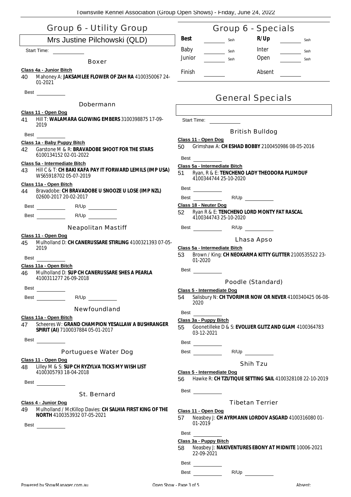| Group 6 - Utility Group                                                                                     | Group 6 - Specials                                                                                                     |
|-------------------------------------------------------------------------------------------------------------|------------------------------------------------------------------------------------------------------------------------|
| Mrs Justine Pilchowski (QLD)                                                                                | R/Up<br><b>Best</b><br>Sash<br>Sash                                                                                    |
| Start Time:                                                                                                 | Baby<br>Inter<br>Sash<br>Sash                                                                                          |
| Boxer                                                                                                       | Junior<br>Open<br>Sash<br>Sash                                                                                         |
| Class 4a - Junior Bitch                                                                                     | <b>Finish</b><br>Absent                                                                                                |
| 40<br>Mahoney A: JAKSAMLEE FLOWER OF ZAH RA 4100350067 24-<br>01-2021                                       |                                                                                                                        |
| Best                                                                                                        |                                                                                                                        |
| Dobermann                                                                                                   | <b>General Specials</b>                                                                                                |
| Class 11 - Open Dog                                                                                         |                                                                                                                        |
| HIII T: WALAMARA GLOWING EMBERS 3100398875 17-09-<br>41<br>2019                                             | Start Time:<br><b>British Bulldog</b>                                                                                  |
| Best                                                                                                        | Class 11 - Open Dog                                                                                                    |
| Class 1a - Baby Puppy Bitch<br>Garstone M & R: BRAVADOBE SHOOT FOR THE STARS<br>42<br>6100134152 02-01-2022 | Grimshaw A: CH ESHAD BOBBY 2100450986 08-05-2016<br>50<br>Best                                                         |
| Class 5a - Intermediate Bitch                                                                               | Class 5a - Intermediate Bitch                                                                                          |
| HIII C & T: CH BAKI KAFA PAY IT FORWARD LEMILS (IMP USA)<br>43<br>WS65918702 05-07-2019                     | Ryan, R & E: TENCHENO LADY THEODORA PLUMDUF<br>51<br>4100344744 25-10-2020                                             |
| Class 11a - Open Bitch<br>Bravadobe: CH BRAVADOBE U SNOOZE U LOSE (IMP NZL)<br>44                           | Best                                                                                                                   |
| 02600-2017 20-02-2017                                                                                       | R/Up<br>Best                                                                                                           |
|                                                                                                             | Class 18 - Neuter Dog                                                                                                  |
| R/Up<br>Best                                                                                                | Ryan R & E: TENCHENO LORD MONTY FAT RASCAL<br>52<br>4100344743 25-10-2020                                              |
| <b>Neapolitan Mastiff</b>                                                                                   | <b>Best Best</b><br>R/Up                                                                                               |
| Class 11 - Open Dog<br>Mulholland D: CH CANERUSSARE STIRLING 4100321393 07-05-<br>45<br>2019<br>Best        | Lhasa Apso<br>Class 5a - Intermediate Bitch<br>Brown / King: CH NEOKARMA KITTY GLITTER 2100535522 23-<br>53<br>01-2020 |
| Class 11a - Open Bitch<br>Mulholland D: SUP CH CANERUSSARE SHES A PEARLA                                    | Best                                                                                                                   |
| 46<br>4100311277 26-09-2018                                                                                 |                                                                                                                        |
| Best                                                                                                        | Poodle (Standard)<br>Class 5 - Intermediate Dog                                                                        |
| R/Up<br>Best                                                                                                | Salisbury N: CH TVORIMIR NOW OR NEVER 4100340425 06-08-<br>54<br>2020                                                  |
| Newfoundland                                                                                                | Best                                                                                                                   |
| Class 11a - Open Bitch                                                                                      | Class 3a - Puppy Bitch                                                                                                 |
| Scheeres W: GRAND CHAMPION YESALLAW A BUSHRANGER<br>47<br>SPIRIT (AI) 7100037884 05-01-2017                 | 55<br>Goonetilleke D & S: EVOLUER GLITZ AND GLAM 4100364783<br>03 12 2021                                              |
| Best                                                                                                        | Best                                                                                                                   |
| Portuguese Water Dog                                                                                        | R/Up                                                                                                                   |
| Class 11 - Open Dog                                                                                         | <b>Shih Tzu</b>                                                                                                        |
| Lilley M & S: SUP CH RYZYLVA TICKS MY WISH LIST<br>48<br>4100305793 18-04-2018                              | Class 5 - Intermediate Dog                                                                                             |
| Best<br>$\overline{\phantom{a}}$ . The set of $\overline{\phantom{a}}$                                      | Hawke R: CH TZUTIQUE SETTING SAIL 4100328108 22-10-2019<br>56                                                          |
| St. Bernard                                                                                                 | Best                                                                                                                   |
| Class 4 - Junior Dog                                                                                        | <b>Tibetan Terrier</b>                                                                                                 |
| Mulholland / McKillop Davies: CH SALHIA FIRST KING OF THE<br>49<br>NORTH 4100353932 07-05-2021<br>Best      | Class 11 - Open Dog<br>Neasbey J: CH AYRMANN LORDOV ASGARD 4100316080 01-<br>57<br>01-2019                             |
|                                                                                                             | Best                                                                                                                   |
|                                                                                                             | Class 3a - Puppy Bitch<br>Neasbey J: NAKIVENTURES EBONY AT MIDNITE 10006-2021<br>58<br>22-09-2021                      |

| ٠<br>$\sim$<br>-<br>$\sim$ |  |
|----------------------------|--|
|                            |  |

Best R/Up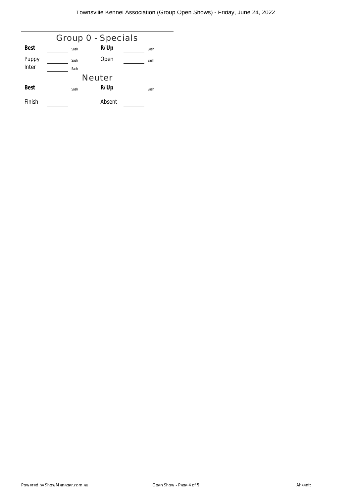| Group 0 - Specials |  |      |        |  |      |  |
|--------------------|--|------|--------|--|------|--|
| Best               |  | Sash | R/Up   |  | Sash |  |
| Puppy              |  | Sash | Open   |  | Sash |  |
| Inter              |  | Sash |        |  |      |  |
| <b>Neuter</b>      |  |      |        |  |      |  |
| <b>Best</b>        |  | Sash | R/Up   |  | Sash |  |
| Finish             |  |      | Absent |  |      |  |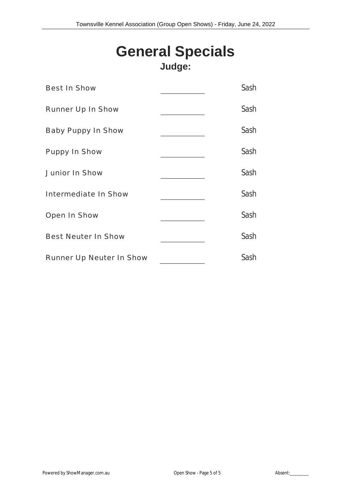# **General Specials Judge:**

| <b>Best In Show</b>             | Sash |
|---------------------------------|------|
| <b>Runner Up In Show</b>        | Sash |
| <b>Baby Puppy In Show</b>       | Sash |
| <b>Puppy In Show</b>            | Sash |
| <b>Junior In Show</b>           | Sash |
| <b>Intermediate In Show</b>     | Sash |
| Open In Show                    | Sash |
| <b>Best Neuter In Show</b>      | Sash |
| <b>Runner Up Neuter In Show</b> | Sash |